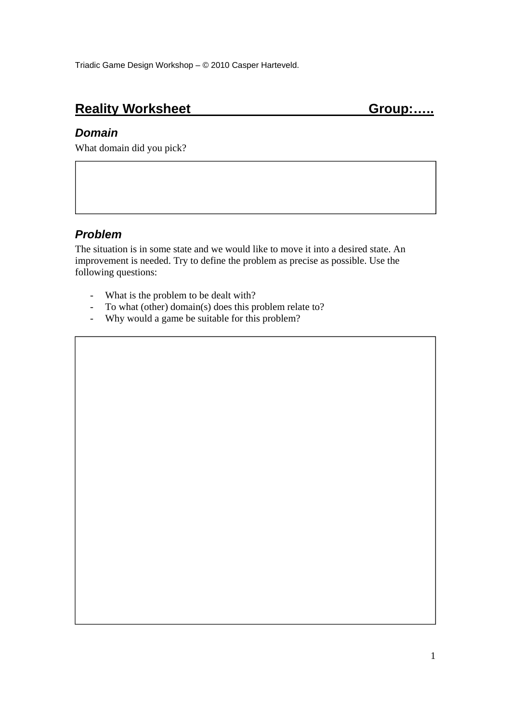# **Reality Worksheet Group:.....**

#### *Domain*

What domain did you pick?

### *Problem*

The situation is in some state and we would like to move it into a desired state. An improvement is needed. Try to define the problem as precise as possible. Use the following questions:

- What is the problem to be dealt with?
- To what (other) domain(s) does this problem relate to?
- Why would a game be suitable for this problem?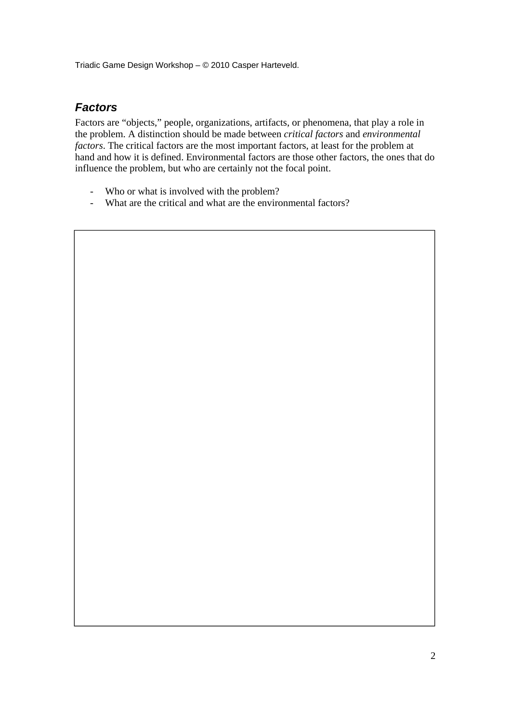Triadic Game Design Workshop – © 2010 Casper Harteveld.

#### *Factors*

Factors are "objects," people, organizations, artifacts, or phenomena, that play a role in the problem. A distinction should be made between *critical factors* and *environmental factors*. The critical factors are the most important factors, at least for the problem at hand and how it is defined. Environmental factors are those other factors, the ones that do influence the problem, but who are certainly not the focal point.

- Who or what is involved with the problem?
- What are the critical and what are the environmental factors?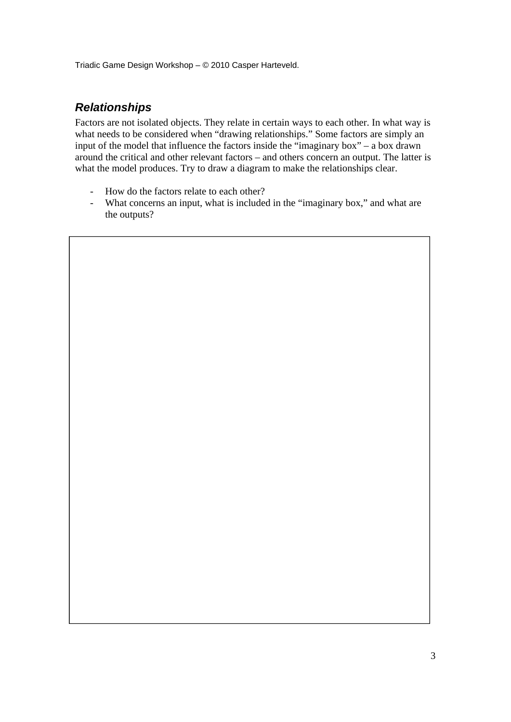Triadic Game Design Workshop – © 2010 Casper Harteveld.

## *Relationships*

Factors are not isolated objects. They relate in certain ways to each other. In what way is what needs to be considered when "drawing relationships." Some factors are simply an input of the model that influence the factors inside the "imaginary box" – a box drawn around the critical and other relevant factors – and others concern an output. The latter is what the model produces. Try to draw a diagram to make the relationships clear.

- How do the factors relate to each other?
- What concerns an input, what is included in the "imaginary box," and what are the outputs?